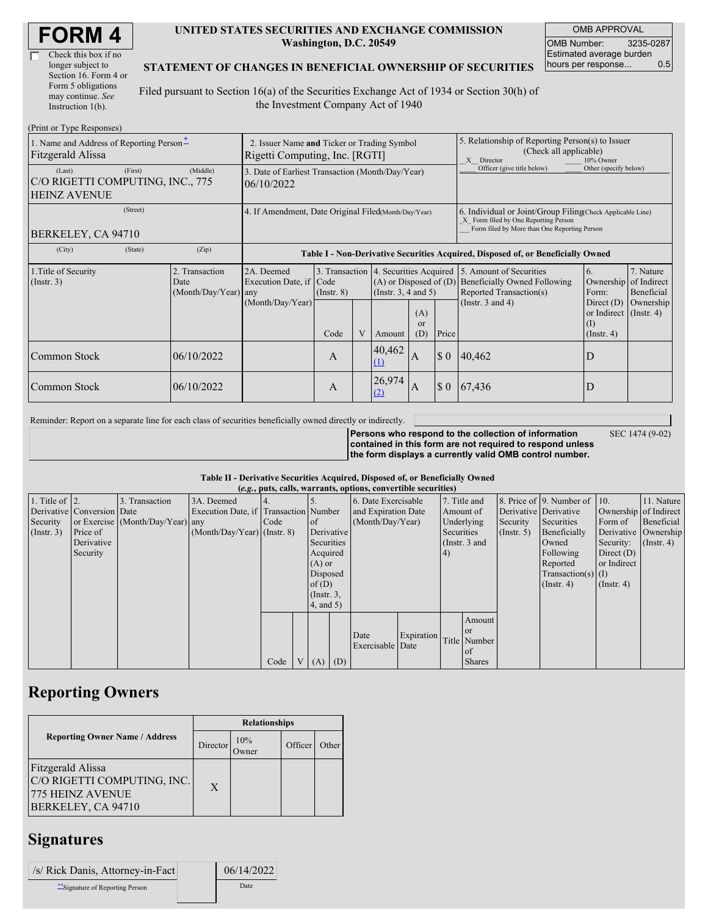| <b>FORM4</b> |
|--------------|
|--------------|

| Check this box if no  |
|-----------------------|
| longer subject to     |
| Section 16. Form 4 or |
| Form 5 obligations    |
| may continue. See     |
| Instruction 1(b).     |

#### **UNITED STATES SECURITIES AND EXCHANGE COMMISSION Washington, D.C. 20549**

OMB APPROVAL OMB Number: 3235-0287 Estimated average burden hours per response... 0.5

### **STATEMENT OF CHANGES IN BENEFICIAL OWNERSHIP OF SECURITIES**

Filed pursuant to Section 16(a) of the Securities Exchange Act of 1934 or Section 30(h) of the Investment Company Act of 1940

| (Print or Type Responses)                                                    |                                                                               |                                                                                  |                                                                     |  |                                                        |                         |                                                                                                                                                    |                                                                                                                  |                                                                      |                         |
|------------------------------------------------------------------------------|-------------------------------------------------------------------------------|----------------------------------------------------------------------------------|---------------------------------------------------------------------|--|--------------------------------------------------------|-------------------------|----------------------------------------------------------------------------------------------------------------------------------------------------|------------------------------------------------------------------------------------------------------------------|----------------------------------------------------------------------|-------------------------|
| 1. Name and Address of Reporting Person-<br>Fitzgerald Alissa                | 2. Issuer Name and Ticker or Trading Symbol<br>Rigetti Computing, Inc. [RGTI] |                                                                                  |                                                                     |  |                                                        |                         | 5. Relationship of Reporting Person(s) to Issuer<br>(Check all applicable)<br>X Director<br>10% Owner                                              |                                                                                                                  |                                                                      |                         |
| (Last)<br>(First)<br>C/O RIGETTI COMPUTING, INC., 775<br><b>HEINZ AVENUE</b> | 3. Date of Earliest Transaction (Month/Day/Year)<br>06/10/2022                |                                                                                  |                                                                     |  |                                                        |                         | Officer (give title below)                                                                                                                         | Other (specify below)                                                                                            |                                                                      |                         |
| (Street)<br>BERKELEY, CA 94710                                               | 4. If Amendment, Date Original Filed(Month/Day/Year)                          |                                                                                  |                                                                     |  |                                                        |                         | 6. Individual or Joint/Group Filing Check Applicable Line)<br>X Form filed by One Reporting Person<br>Form filed by More than One Reporting Person |                                                                                                                  |                                                                      |                         |
| (City)<br>(State)                                                            | (Zip)                                                                         | Table I - Non-Derivative Securities Acquired, Disposed of, or Beneficially Owned |                                                                     |  |                                                        |                         |                                                                                                                                                    |                                                                                                                  |                                                                      |                         |
| 1. Title of Security<br>$($ Instr. 3 $)$                                     | 2. Transaction<br>Date<br>$(Month/Day/Year)$ any                              | 2A. Deemed<br>Execution Date, if                                                 | 3. Transaction<br>Code<br>$($ Instr. $8)$                           |  | $(A)$ or Disposed of $(D)$<br>(Instr. $3, 4$ and $5$ ) |                         |                                                                                                                                                    | 4. Securities Acquired 5. Amount of Securities<br><b>Beneficially Owned Following</b><br>Reported Transaction(s) | 6.<br>Ownership of Indirect<br>Form:                                 | 7. Nature<br>Beneficial |
|                                                                              |                                                                               | (Month/Day/Year)                                                                 | Code                                                                |  | Amount                                                 | (A)<br><b>or</b><br>(D) | Price                                                                                                                                              | (Instr. $3$ and $4$ )                                                                                            | Direct $(D)$<br>or Indirect $($ Instr. 4)<br>(I)<br>$($ Instr. 4 $)$ | Ownership               |
| Common Stock                                                                 | 06/10/2022                                                                    |                                                                                  | A                                                                   |  | 40,462<br>$\Omega$                                     | <sup>1</sup> A          | $\boldsymbol{\mathsf{S}}\boldsymbol{\mathsf{0}}$                                                                                                   | 40,462                                                                                                           | D                                                                    |                         |
| Common Stock                                                                 | 06/10/2022                                                                    |                                                                                  | 26,974<br>$\boldsymbol{\mathsf{S}}$ 0<br><sup>1</sup> A<br>A<br>(2) |  | 67,436                                                 | D                       |                                                                                                                                                    |                                                                                                                  |                                                                      |                         |

Reminder: Report on a separate line for each class of securities beneficially owned directly or indirectly.

SEC 1474 (9-02)

**Persons who respond to the collection of information contained in this form are not required to respond unless the form displays a currently valid OMB control number.**

#### **Table II - Derivative Securities Acquired, Disposed of, or Beneficially Owned**

| (e.g., puts, calls, warrants, options, convertible securities) |                            |                                  |                                       |      |  |                 |  |                          |            |            |                 |                       |                                              |                       |                      |
|----------------------------------------------------------------|----------------------------|----------------------------------|---------------------------------------|------|--|-----------------|--|--------------------------|------------|------------|-----------------|-----------------------|----------------------------------------------|-----------------------|----------------------|
| 1. Title of $\vert$ 2.                                         |                            | 3. Transaction                   | 3A. Deemed                            |      |  |                 |  | 6. Date Exercisable      |            |            | 7. Title and    |                       | 8. Price of $\vert$ 9. Number of $\vert$ 10. |                       | 11. Nature           |
|                                                                | Derivative Conversion Date |                                  | Execution Date, if Transaction Number |      |  |                 |  | and Expiration Date      |            | Amount of  |                 | Derivative Derivative |                                              | Ownership of Indirect |                      |
| Security                                                       |                            | or Exercise (Month/Day/Year) any |                                       | Code |  | <sub>of</sub>   |  | (Month/Day/Year)         |            |            | Underlying      | Security              | Securities                                   | Form of               | Beneficial           |
| (Insert. 3)                                                    | Price of                   |                                  | $(Month/Day/Year)$ (Instr. 8)         |      |  | Derivative      |  |                          |            | Securities |                 | $($ Instr. 5 $)$      | Beneficially                                 |                       | Derivative Ownership |
|                                                                | Derivative                 |                                  |                                       |      |  | Securities      |  |                          |            |            | (Instr. $3$ and |                       | Owned                                        | Security:             | $($ Instr. 4 $)$     |
|                                                                | Security                   |                                  |                                       |      |  | Acquired        |  |                          |            | $\vert 4)$ |                 |                       | Following                                    | Direct $(D)$          |                      |
|                                                                |                            |                                  |                                       |      |  | $(A)$ or        |  |                          |            |            |                 |                       | Reported                                     | or Indirect           |                      |
|                                                                |                            |                                  |                                       |      |  | Disposed        |  |                          |            |            |                 |                       | Transaction(s) $(I)$                         |                       |                      |
|                                                                |                            |                                  |                                       |      |  | of(D)           |  |                          |            |            |                 |                       | $($ Instr. 4 $)$                             | $($ Instr. 4 $)$      |                      |
|                                                                |                            |                                  |                                       |      |  | $($ Instr. $3,$ |  |                          |            |            |                 |                       |                                              |                       |                      |
|                                                                |                            |                                  |                                       |      |  | 4, and 5)       |  |                          |            |            |                 |                       |                                              |                       |                      |
|                                                                |                            |                                  |                                       |      |  |                 |  |                          |            |            | Amount          |                       |                                              |                       |                      |
|                                                                |                            |                                  |                                       |      |  |                 |  |                          |            |            | <b>or</b>       |                       |                                              |                       |                      |
|                                                                |                            |                                  |                                       |      |  |                 |  | Date<br>Exercisable Date | Expiration |            | Title Number    |                       |                                              |                       |                      |
|                                                                |                            |                                  |                                       |      |  |                 |  |                          |            |            | <b>of</b>       |                       |                                              |                       |                      |
|                                                                |                            |                                  |                                       | Code |  | $V(A)$ (D)      |  |                          |            |            | <b>Shares</b>   |                       |                                              |                       |                      |

## **Reporting Owners**

|                                                                                            | <b>Relationships</b> |                     |         |       |  |  |  |  |
|--------------------------------------------------------------------------------------------|----------------------|---------------------|---------|-------|--|--|--|--|
| <b>Reporting Owner Name / Address</b>                                                      | Director             | 10%<br><b>Twner</b> | Officer | Other |  |  |  |  |
| Fitzgerald Alissa<br>C/O RIGETTI COMPUTING, INC.<br>775 HEINZ AVENUE<br>BERKELEY, CA 94710 | $\mathbf{X}$         |                     |         |       |  |  |  |  |

### **Signatures**

| /s/ Rick Danis, Attorney-in-Fact | 06/14/2022 |
|----------------------------------|------------|
| Signature of Reporting Person    | Date       |